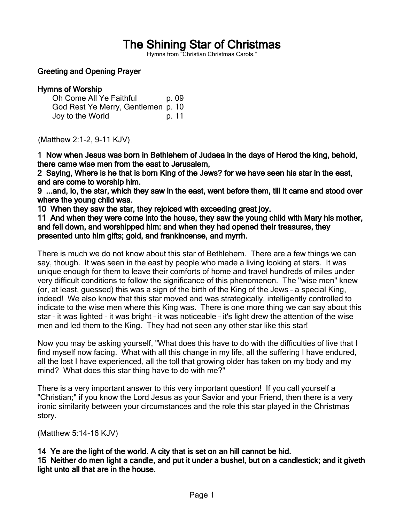# The Shining Star of Christmas

Hymns from "Christian Christmas Carols."

## Greeting and Opening Prayer

## Hymns of Worship

| Oh Come All Ye Faithful            | p. 09 |
|------------------------------------|-------|
| God Rest Ye Merry, Gentlemen p. 10 |       |
| Joy to the World                   | p. 11 |

(Matthew 2:1-2, 9-11 KJV)

1 Now when Jesus was born in Bethlehem of Judaea in the days of Herod the king, behold, there came wise men from the east to Jerusalem,

2 Saying, Where is he that is born King of the Jews? for we have seen his star in the east, and are come to worship him.

9 ...and, lo, the star, which they saw in the east, went before them, till it came and stood over where the young child was.

10 When they saw the star, they rejoiced with exceeding great joy.

11 And when they were come into the house, they saw the young child with Mary his mother, and fell down, and worshipped him: and when they had opened their treasures, they presented unto him gifts; gold, and frankincense, and myrrh.

There is much we do not know about this star of Bethlehem. There are a few things we can say, though. It was seen in the east by people who made a living looking at stars. It was unique enough for them to leave their comforts of home and travel hundreds of miles under very difficult conditions to follow the significance of this phenomenon. The "wise men" knew (or, at least, guessed) this was a sign of the birth of the King of the Jews – a special King, indeed! We also know that this star moved and was strategically, intelligently controlled to indicate to the wise men where this King was. There is one more thing we can say about this star – it was lighted – it was bright – it was noticeable – it's light drew the attention of the wise men and led them to the King. They had not seen any other star like this star!

Now you may be asking yourself, "What does this have to do with the difficulties of live that I find myself now facing. What with all this change in my life, all the suffering I have endured, all the lost I have experienced, all the toll that growing older has taken on my body and my mind? What does this star thing have to do with me?"

There is a very important answer to this very important question! If you call yourself a "Christian;" if you know the Lord Jesus as your Savior and your Friend, then there is a very ironic similarity between your circumstances and the role this star played in the Christmas story.

(Matthew 5:14-16 KJV)

# 14 Ye are the light of the world. A city that is set on an hill cannot be hid.

15 Neither do men light a candle, and put it under a bushel, but on a candlestick; and it giveth light unto all that are in the house.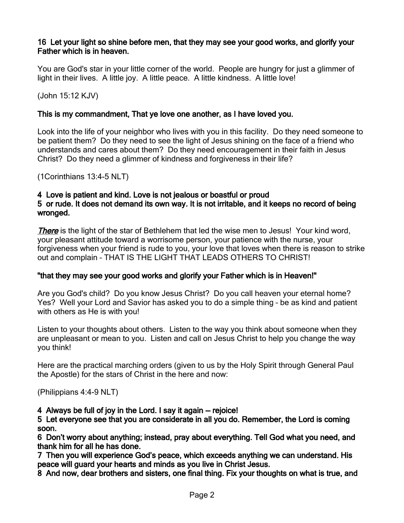## 16 Let your light so shine before men, that they may see your good works, and glorify your Father which is in heaven.

You are God's star in your little corner of the world. People are hungry for just a glimmer of light in their lives. A little joy. A little peace. A little kindness. A little love!

(John 15:12 KJV)

# This is my commandment, That ye love one another, as I have loved you.

Look into the life of your neighbor who lives with you in this facility. Do they need someone to be patient them? Do they need to see the light of Jesus shining on the face of a friend who understands and cares about them? Do they need encouragement in their faith in Jesus Christ? Do they need a glimmer of kindness and forgiveness in their life?

(1Corinthians 13:4-5 NLT)

# 4 Love is patient and kind. Love is not jealous or boastful or proud

## 5 or rude. It does not demand its own way. It is not irritable, and it keeps no record of being wronged.

There is the light of the star of Bethlehem that led the wise men to Jesus! Your kind word, your pleasant attitude toward a worrisome person, your patience with the nurse, your forgiveness when your friend is rude to you, your love that loves when there is reason to strike out and complain – THAT IS THE LIGHT THAT LEADS OTHERS TO CHRIST!

#### "that they may see your good works and glorify your Father which is in Heaven!"

Are you God's child? Do you know Jesus Christ? Do you call heaven your eternal home? Yes? Well your Lord and Savior has asked you to do a simple thing – be as kind and patient with others as He is with you!

Listen to your thoughts about others. Listen to the way you think about someone when they are unpleasant or mean to you. Listen and call on Jesus Christ to help you change the way you think!

Here are the practical marching orders (given to us by the Holy Spirit through General Paul the Apostle) for the stars of Christ in the here and now:

(Philippians 4:4-9 NLT)

# 4 Always be full of joy in the Lord. I say it again — rejoice!

#### 5 Let everyone see that you are considerate in all you do. Remember, the Lord is coming soon.

6 Don't worry about anything; instead, pray about everything. Tell God what you need, and thank him for all he has done.

7 Then you will experience God's peace, which exceeds anything we can understand. His peace will guard your hearts and minds as you live in Christ Jesus.

8 And now, dear brothers and sisters, one final thing. Fix your thoughts on what is true, and